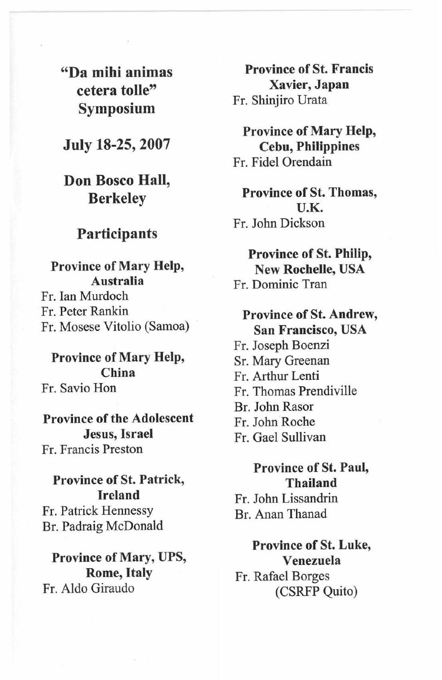"Da mihi animas cetera tolle" Symposium

July 18-25, 2007

Don Bosco Hall, Berkeley

#### Participants

Province of Mary Help, Australia Fr. Ian Murdoch Fr. Peter Rankin Fr. Mosese Vitolio (Samoa)

Province of Mary Help, China Fr. Savio Hon

Province of the Adolescent Jesus, Israel Fr. Francis Preston

Province of St. Patrick, Ireland Fr. Patrick Hennessy Br. Padraig McDonald

Province of Mary, UPS, Rome, Italy Fr. Aldo Giraudo

Province of St. Francis Xavier, Japan Fr. Shinjiro Urata

Province of Mary Help, Cebu, Philippines Fr. Fidel Orendain

Province of St. Thomas, U.K. Fr. John Dickson

Province of St. Philip, New Rochelle, USA Fr. Dominic Tran

Province of St. Andrew, San Francisco, USA Fr. Joseph Boenzi Sr. Mary Greenan Fr. Arthur Lenti Fr. Thomas Prendiville Br. John Rasor Fr. John Roche Fr. Gael Sullivan

Province of St. Paul, Thailand

Fr. John Lissandrin Br. Anan Thanad

Province of St. Luke, Venezuela Fr. Rafael Borges (CSRFP Quito)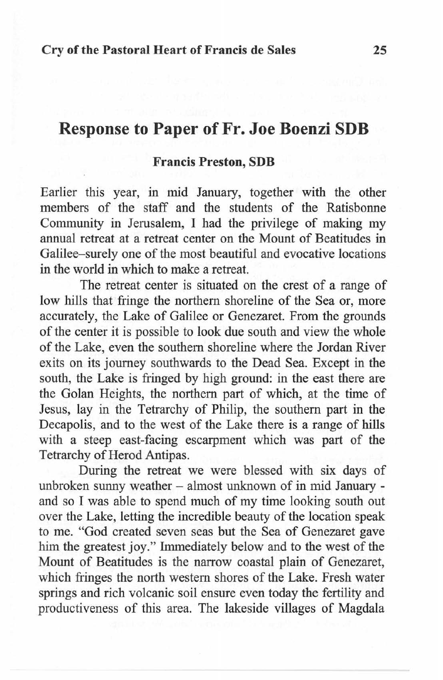# **Response to Paper of Fr. Joe Boenzi SDB**

#### **Francis Preston, SDB**

Earlier this year, in mid January, together with the other members of the staff and the students of the Ratisbonne Community in Jerusalem, I had the privilege of making my annual retreat at a retreat center on the Mount of Beatitudes in Galilee-surely one of the most beautiful and evocative locations in the world in which to make a retreat.

The retreat center is situated on the crest of a range of low hills that fringe the northern shoreline of the Sea or, more accurately, the Lake of Galilee or Genezaret. From the grounds of the center it is possible to look due south and view the whole of the Lake, even the southern shoreline where the Jordan River exits on its journey southwards to the Dead Sea. Except in the south, the Lake is fringed by high ground: in the east there are the Golan Heights, the northern part of which, at the time of Jesus, lay in the Tetrarchy of Philip, the southern part in the Decapolis, and to the west of the Lake there is a range of hills with a steep east-facing escarpment which was part of the Tetrarchy of Herod Antipas.

During the retreat we were blessed with six days of unbroken sunny weather - almost unknown of in mid January and so I was able to spend much of my time looking south out over the Lake, letting the incredible beauty of the location speak to me. "God created seven seas but the Sea of Genezaret gave him the greatest joy." Immediately below and to the west of the Mount of Beatitudes is the narrow coastal plain of Genezaret, which fringes the north western shores of the Lake. Fresh water springs and rich volcanic soil ensure even today the fertility and productiveness of this area. The lakeside villages of Magdaia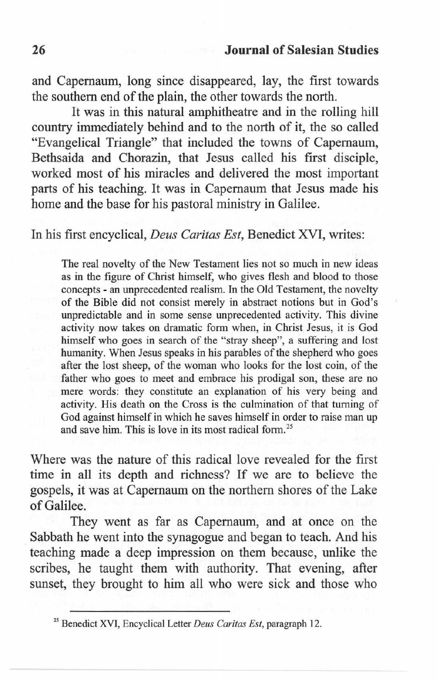and Capernaum, long since disappeared, lay, the first towards the southern end of the plain, the other towards the north.

It was in this natural amphitheatre and in the rolling hill country immediately behind and to the north of it, the so called "Evangelical Triangle" that included the towns of Capernaum, Bethsaida and Chorazin, that Jesus called his first disciple, worked most of his miracles and delivered the most important parts of his teaching. It was in Capernaum that Jesus made his home and the base for his pastoral ministry in Galilee.

## In his first encyclical, *Deus Caritas Est,* Benedict XVI, writes:

The real novelty of the New Testament lies not so much in new ideas as in the figure of Christ himself, who gives flesh and blood to those concepts - an unprecedented realism. In the Old Testament, the novelty of the Bible did not consist merely in abstract notions but in God's unpredictable and in some sense unprecedented activity. This divine activity now takes on dramatic form when, in Christ Jesus, it is God himself who goes in search of the "stray sheep", a suffering and lost humanity. When Jesus speaks in his parables of the shepherd who goes after the lost sheep, of the woman who looks for the lost coin, of the father who goes to meet and embrace his prodigal son, these are no mere words: they constitute an explanation of his very being and activity. His death on the Cross is the culmination of that turning of God against himself in which he saves himself in order to raise man up and save him. This is love in its most radical form. 25

Where was the nature of this radical love revealed for the first time in all its depth and richness? If we are to believe the gospels, it was at Capernaum on the northern shores of the Lake of Galilee.

They went as far as Capernaum, and at once on the Sabbath he went into the synagogue and began to teach. And his teaching made a deep impression on them because, unlike the scribes, he taught them with authority. That evening, after sunset, they brought to him all who were sick and those who

<sup>25</sup> Benedict XVI, Encyclical Letter *Deus Caritas Est,* paragraph 12.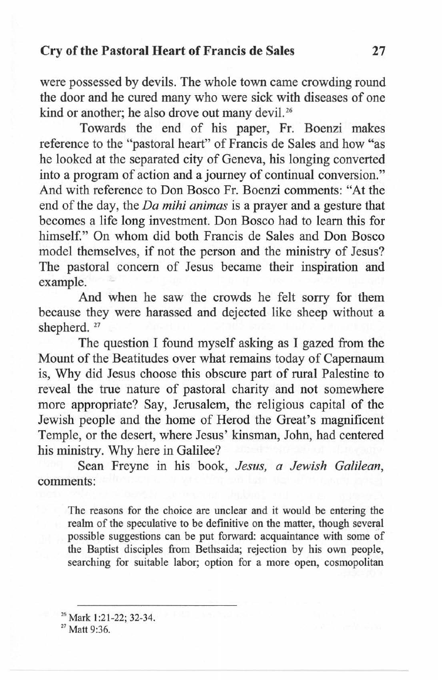## **Cry of the Pastoral Heart of Francis de Sales 27**

were possessed by devils. The whole town came crowding round the door and he cured many who were sick with diseases of one kind or another; he also drove out many devil.<sup>26</sup>

Towards the end of his paper, Fr. Boenzi makes reference to the "pastoral heart" of Francis de Sales and how "as he looked at the separated city of Geneva, his longing converted into a program of action and a journey of continual conversion." And with reference to Don Bosco Fr. Boenzi comments: "At the end of the day, the *Da mihi animas* is a prayer and a gesture that becomes a life long investment. Don Bosco had to learn this for himself." On whom did both Francis de Sales and Don Bosco model themselves, if not the person and the ministry of Jesus? The pastoral concern of Jesus became their inspiration and example.

And when he saw the crowds he felt sorry for them because they were harassed and dejected like sheep without a shepherd.<sup>27</sup>

The question I found myself asking as I gazed from the Mount of the Beatitudes over what remains today of Capemaum is, Why did Jesus choose this obscure part of rural Palestine to reveal the true nature of pastoral charity and not somewhere more appropriate? Say, Jerusalem, the religious capital of the Jewish people and the home of Herod the Great's magnificent Temple, or the desert, where Jesus' kinsman, John, had centered his ministry. Why here in Galilee?

Sean Freyne in his book, *Jesus, a Jewish Galilean,*  comments:

The reasons for the choice are unclear and it would be entering the realm of the speculative to be definitive on the matter, though several possible suggestions can be put forward: acquaintance with some of the Baptist disciples from Bethsaida; rejection by his own people, searching for suitable labor; option for a more open, cosmopolitan

<sup>&</sup>lt;sup>26</sup> Mark 1:21-22; 32-34.

 $27$  Matt 9:36.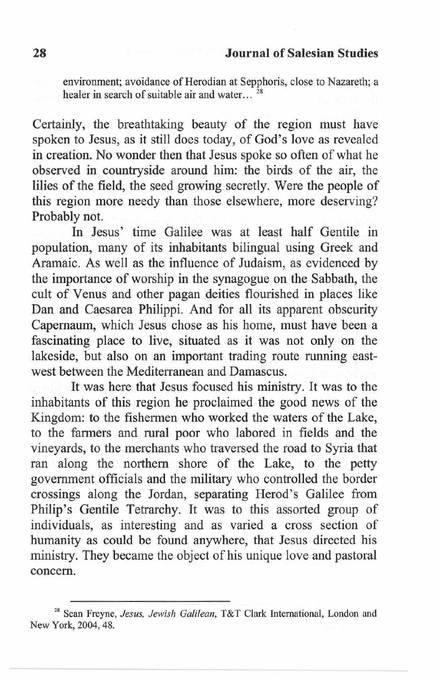environment; avoidance of Herodian at Sepphoris, close to Nazareth; a healer in search of suitable air and water...<sup>28</sup>

Certainly, the breathtaking beauty of the region must have spoken to Jesus, as it still does today, of God's love as revealed in creation. No wonder then that Jesus spoke so often of what he observed in countryside around him: the birds of the air, the lilies of the field, the seed growing secretly. Were the people of this region more needy than those elsewhere, more deserving? Probably not.

In Jesus' time Galilee was at least half Gentile in population, many of its inhabitants bilingual using Greek and Aramaic. As well as the influence of Judaism, as evidenced by the importance of worship in the synagogue on the Sabbath, the cult of Venus and other pagan deities flourished in places like Dan and Caesarea Philippi. And for all its apparent obscurity Capernaum, which Jesus chose as his home, must have been a fascinating place to live, situated as it was not only on the lakeside, but also on an important trading route running eastwest between the Mediterranean and Damascus.

It was here that Jesus focused his ministry. It was to the inhabitants of this region he proclaimed the good news of the Kingdom: to the fishermen who worked the waters of the Lake, to the farmers and rural poor who labored in fields and the vineyards, to the merchants who traversed the road to Syria that ran along the northern shore of the Lake, to the petty government officials and the military who controlled the border crossings along the Jordan, separating Herod's Galilee from Philip's Gentile Tetrarchy. It was to this assorted group of individuals, as interesting and as varied a cross section of humanity as could be found anywhere, that Jesus directed his ministry. They became the object of his unique love and pastoral concern.

<sup>&</sup>lt;sup>28</sup> Sean Freyne, *Jesus, Jewish Galilean*, T&T Clark International, London and New York, 2004, 48.